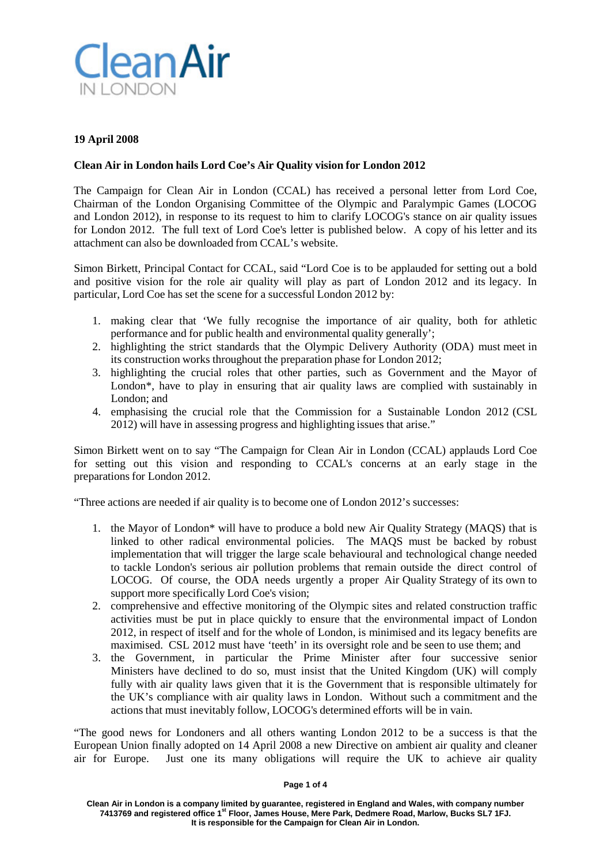

## **19 April 2008**

### **Clean Air in London hails Lord Coe's Air Quality vision for London 2012**

The Campaign for Clean Air in London (CCAL) has received a personal letter from Lord Coe, Chairman of the London Organising Committee of the Olympic and Paralympic Games (LOCOG and London 2012), in response to its request to him to clarify LOCOG's stance on air quality issues for London 2012. The full text of Lord Coe's letter is published below. A copy of his letter and its attachment can also be downloaded from CCAL's website.

Simon Birkett, Principal Contact for CCAL, said "Lord Coe is to be applauded for setting out a bold and positive vision for the role air quality will play as part of London 2012 and its legacy. In particular, Lord Coe has set the scene for a successful London 2012 by:

- 1. making clear that 'We fully recognise the importance of air quality, both for athletic performance and for public health and environmental quality generally';
- 2. highlighting the strict standards that the Olympic Delivery Authority (ODA) must meet in its construction works throughout the preparation phase for London 2012;
- 3. highlighting the crucial roles that other parties, such as Government and the Mayor of London\*, have to play in ensuring that air quality laws are complied with sustainably in London; and
- 4. emphasising the crucial role that the Commission for a Sustainable London 2012 (CSL 2012) will have in assessing progress and highlighting issues that arise."

Simon Birkett went on to say "The Campaign for Clean Air in London (CCAL) applauds Lord Coe for setting out this vision and responding to CCAL's concerns at an early stage in the preparations for London 2012.

"Three actions are needed if air quality is to become one of London 2012's successes:

- 1. the Mayor of London\* will have to produce a bold new Air Quality Strategy (MAQS) that is linked to other radical environmental policies. The MAQS must be backed by robust implementation that will trigger the large scale behavioural and technological change needed to tackle London's serious air pollution problems that remain outside the direct control of LOCOG. Of course, the ODA needs urgently a proper Air Quality Strategy of its own to support more specifically Lord Coe's vision;
- 2. comprehensive and effective monitoring of the Olympic sites and related construction traffic activities must be put in place quickly to ensure that the environmental impact of London 2012, in respect of itself and for the whole of London, is minimised and its legacy benefits are maximised. CSL 2012 must have 'teeth' in its oversight role and be seen to use them; and
- 3. the Government, in particular the Prime Minister after four successive senior Ministers have declined to do so, must insist that the United Kingdom (UK) will comply fully with air quality laws given that it is the Government that is responsible ultimately for the UK's compliance with air quality laws in London. Without such a commitment and the actions that must inevitably follow, LOCOG's determined efforts will be in vain.

"The good news for Londoners and all others wanting London 2012 to be a success is that the European Union finally adopted on 14 April 2008 a new Directive on ambient air quality and cleaner air for Europe. Just one its many obligations will require the UK to achieve air quality

#### **Page 1 of 4**

**Clean Air in London is a company limited by guarantee, registered in England and Wales, with company number 7413769 and registered office 1st Floor, James House, Mere Park, Dedmere Road, Marlow, Bucks SL7 1FJ. It is responsible for the Campaign for Clean Air in London.**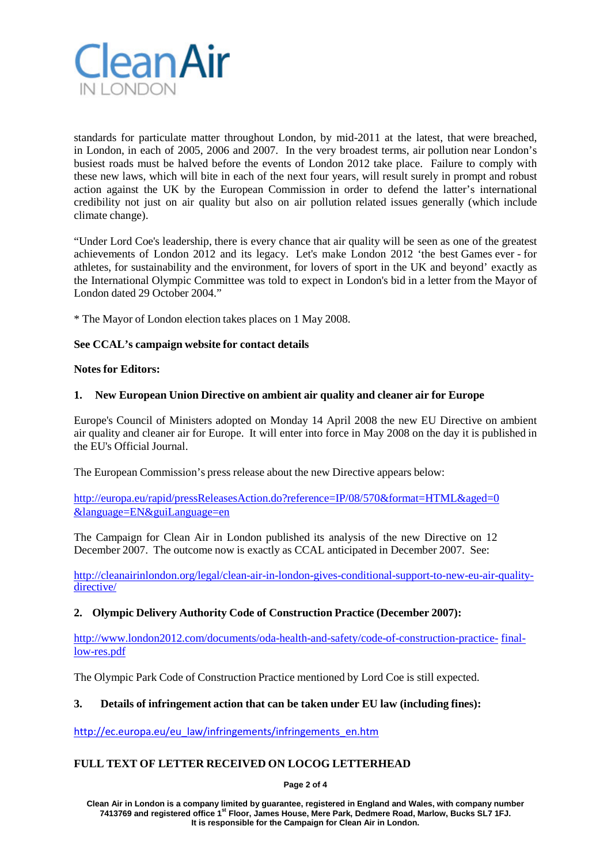

standards for particulate matter throughout London, by mid-2011 at the latest, that were breached, in London, in each of 2005, 2006 and 2007. In the very broadest terms, air pollution near London's busiest roads must be halved before the events of London 2012 take place. Failure to comply with these new laws, which will bite in each of the next four years, will result surely in prompt and robust action against the UK by the European Commission in order to defend the latter's international credibility not just on air quality but also on air pollution related issues generally (which include climate change).

"Under Lord Coe's leadership, there is every chance that air quality will be seen as one of the greatest achievements of London 2012 and its legacy. Let's make London 2012 'the best Games ever - for athletes, for sustainability and the environment, for lovers of sport in the UK and beyond' exactly as the International Olympic Committee was told to expect in London's bid in a letter from the Mayor of London dated 29 October 2004."

\* The Mayor of London election takes places on 1 May 2008.

# **See CCAL's campaign website for contact details**

### **Notes for Editors:**

## **1. New European Union Directive on ambient air quality and cleaner air for Europe**

Europe's Council of Ministers adopted on Monday 14 April 2008 the new EU Directive on ambient air quality and cleaner air for Europe. It will enter into force in May 2008 on the day it is published in the EU's Official Journal.

The European Commission's press release about the new Directive appears below:

<http://europa.eu/rapid/pressReleasesAction.do?reference=IP/08/570&format=HTML&aged=0> [&language=EN&guiLanguage=en](http://europa.eu/rapid/pressReleasesAction.do?reference=IP/08/570&format=HTML&aged=0)

The Campaign for Clean Air in London published its analysis of the new Directive on 12 December 2007. The outcome now is exactly as CCAL anticipated in December 2007. See:

[http://cleanairinlondon.org/legal/clean-air-in-london-gives-conditional-support-to-new-eu-air-quality](http://cleanairinlondon.org/legal/clean-air-in-london-gives-conditional-support-to-new-eu-air-quality-directive/)[directive/](http://cleanairinlondon.org/legal/clean-air-in-london-gives-conditional-support-to-new-eu-air-quality-directive/)

# **2. Olympic Delivery Authority Code of Construction Practice (December 2007):**

[http://www.london2012.com/documents/oda-health-and-safety/code-of-construction-practice-](http://www.london2012.com/documents/oda-health-and-safety/code-of-construction-practice-final-low-res.pdf) [final](http://www.london2012.com/documents/oda-health-and-safety/code-of-construction-practice-final-low-res.pdf)[low-res.pdf](http://www.london2012.com/documents/oda-health-and-safety/code-of-construction-practice-final-low-res.pdf)

The Olympic Park Code of Construction Practice mentioned by Lord Coe is still expected.

### **3. Details of infringement action that can be taken under EU law (including fines):**

[http://ec.europa.eu/eu\\_law/infringements/infringements\\_en.htm](http://ec.europa.eu/eu_law/infringements/infringements_en.htm)

# **FULL TEXT OF LETTER RECEIVED ON LOCOG LETTERHEAD**

**Page 2 of 4**

**Clean Air in London is a company limited by guarantee, registered in England and Wales, with company number 7413769 and registered office 1st Floor, James House, Mere Park, Dedmere Road, Marlow, Bucks SL7 1FJ. It is responsible for the Campaign for Clean Air in London.**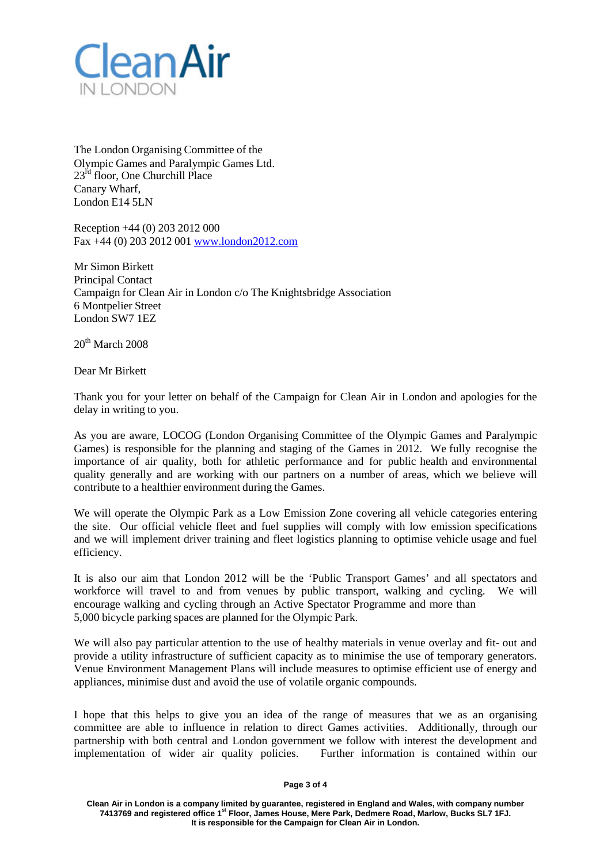

The London Organising Committee of the Olympic Games and Paralympic Games Ltd. 23<sup>rd</sup> floor, One Churchill Place Canary Wharf, London E14 5LN

Reception +44 (0) 203 2012 000 Fax +44 (0) 203 2012 001 [www.london2012.com](http://www.london2012.com/)

Mr Simon Birkett Principal Contact Campaign for Clean Air in London c/o The Knightsbridge Association 6 Montpelier Street London SW7 1EZ

 $20^{th}$  March 2008

Dear Mr Birkett

Thank you for your letter on behalf of the Campaign for Clean Air in London and apologies for the delay in writing to you.

As you are aware, LOCOG (London Organising Committee of the Olympic Games and Paralympic Games) is responsible for the planning and staging of the Games in 2012. We fully recognise the importance of air quality, both for athletic performance and for public health and environmental quality generally and are working with our partners on a number of areas, which we believe will contribute to a healthier environment during the Games.

We will operate the Olympic Park as a Low Emission Zone covering all vehicle categories entering the site. Our official vehicle fleet and fuel supplies will comply with low emission specifications and we will implement driver training and fleet logistics planning to optimise vehicle usage and fuel efficiency.

It is also our aim that London 2012 will be the 'Public Transport Games' and all spectators and workforce will travel to and from venues by public transport, walking and cycling. We will encourage walking and cycling through an Active Spectator Programme and more than 5,000 bicycle parking spaces are planned for the Olympic Park.

We will also pay particular attention to the use of healthy materials in venue overlay and fit- out and provide a utility infrastructure of sufficient capacity as to minimise the use of temporary generators. Venue Environment Management Plans will include measures to optimise efficient use of energy and appliances, minimise dust and avoid the use of volatile organic compounds.

I hope that this helps to give you an idea of the range of measures that we as an organising committee are able to influence in relation to direct Games activities. Additionally, through our partnership with both central and London government we follow with interest the development and implementation of wider air quality policies. Further information is contained within our

#### **Page 3 of 4**

**Clean Air in London is a company limited by guarantee, registered in England and Wales, with company number 7413769 and registered office 1st Floor, James House, Mere Park, Dedmere Road, Marlow, Bucks SL7 1FJ. It is responsible for the Campaign for Clean Air in London.**